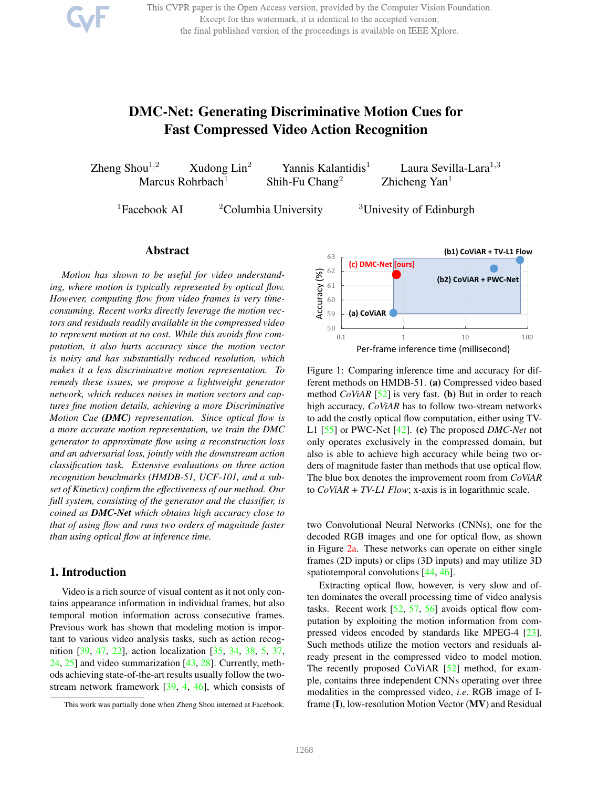This CVPR paper is the Open Access version, provided by the Computer Vision Foundation. Except for this watermark, it is identical to the accepted version; the final published version of the proceedings is available on IEEE Xplore.

# DMC-Net: Generating Discriminative Motion Cues for Fast Compressed Video Action Recognition

Zheng Shou<sup>1,2</sup> Xudong Lin<sup>2</sup> Yannis Kalantidis<sup>1</sup> Laura Sevilla-Lara<sup>1,3</sup> Marcus Rohrbach<sup>1</sup> Shih-Fu Chang<sup>2</sup> Zhicheng Yan<sup>1</sup>

<sup>1</sup>Facebook AI <sup>2</sup>Columbia University <sup>3</sup>Univesity of Edinburgh

## Abstract

*Motion has shown to be useful for video understanding, where motion is typically represented by optical flow. However, computing flow from video frames is very timeconsuming. Recent works directly leverage the motion vectors and residuals readily available in the compressed video to represent motion at no cost. While this avoids flow computation, it also hurts accuracy since the motion vector is noisy and has substantially reduced resolution, which makes it a less discriminative motion representation. To remedy these issues, we propose a lightweight generator network, which reduces noises in motion vectors and captures fine motion details, achieving a more Discriminative Motion Cue (DMC) representation. Since optical flow is a more accurate motion representation, we train the DMC generator to approximate flow using a reconstruction loss and an adversarial loss, jointly with the downstream action classification task. Extensive evaluations on three action recognition benchmarks (HMDB-51, UCF-101, and a subset of Kinetics) confirm the effectiveness of our method. Our full system, consisting of the generator and the classifier, is coined as DMC-Net which obtains high accuracy close to that of using flow and runs two orders of magnitude faster than using optical flow at inference time.*

# 1. Introduction

Video is a rich source of visual content as it not only contains appearance information in individual frames, but also temporal motion information across consecutive frames. Previous work has shown that modeling motion is important to various video analysis tasks, such as action recognition [39, 47, 22], action localization [35, 34, 38, 5, 37, 24, 25] and video summarization [43, 28]. Currently, methods achieving state-of-the-art results usually follow the twostream network framework [39, 4, 46], which consists of



Figure 1: Comparing inference time and accuracy for different methods on HMDB-51. (a) Compressed video based method *CoViAR* [52] is very fast. (b) But in order to reach high accuracy, *CoViAR* has to follow two-stream networks to add the costly optical flow computation, either using TV-L1 [55] or PWC-Net [42]. (c) The proposed *DMC-Net* not only operates exclusively in the compressed domain, but also is able to achieve high accuracy while being two orders of magnitude faster than methods that use optical flow. The blue box denotes the improvement room from *CoViAR* to *CoViAR + TV-L1 Flow*; x-axis is in logarithmic scale.

two Convolutional Neural Networks (CNNs), one for the decoded RGB images and one for optical flow, as shown in Figure 2a. These networks can operate on either single frames (2D inputs) or clips (3D inputs) and may utilize 3D spatiotemporal convolutions [44, 46].

Extracting optical flow, however, is very slow and often dominates the overall processing time of video analysis tasks. Recent work [52, 57, 56] avoids optical flow computation by exploiting the motion information from compressed videos encoded by standards like MPEG-4 [23]. Such methods utilize the motion vectors and residuals already present in the compressed video to model motion. The recently proposed CoViAR [52] method, for example, contains three independent CNNs operating over three modalities in the compressed video, *i.e*. RGB image of Iframe (I), low-resolution Motion Vector (MV) and Residual

This work was partially done when Zheng Shou interned at Facebook.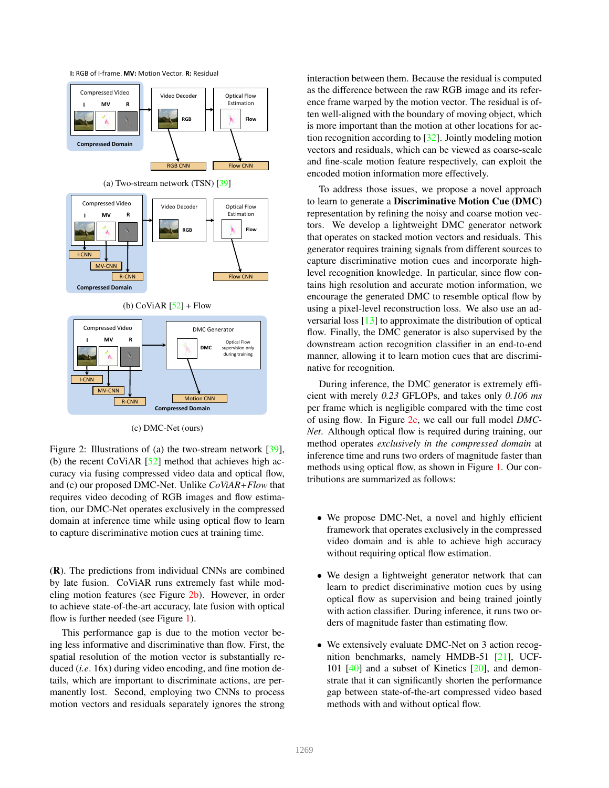



(c) DMC-Net (ours)

Figure 2: Illustrations of (a) the two-stream network [39], (b) the recent CoViAR  $[52]$  method that achieves high accuracy via fusing compressed video data and optical flow, and (c) our proposed DMC-Net. Unlike *CoViAR+Flow* that requires video decoding of RGB images and flow estimation, our DMC-Net operates exclusively in the compressed domain at inference time while using optical flow to learn to capture discriminative motion cues at training time.

(R). The predictions from individual CNNs are combined by late fusion. CoViAR runs extremely fast while modeling motion features (see Figure 2b). However, in order to achieve state-of-the-art accuracy, late fusion with optical flow is further needed (see Figure 1).

This performance gap is due to the motion vector being less informative and discriminative than flow. First, the spatial resolution of the motion vector is substantially reduced (*i.e*. 16x) during video encoding, and fine motion details, which are important to discriminate actions, are permanently lost. Second, employing two CNNs to process motion vectors and residuals separately ignores the strong interaction between them. Because the residual is computed as the difference between the raw RGB image and its reference frame warped by the motion vector. The residual is often well-aligned with the boundary of moving object, which is more important than the motion at other locations for action recognition according to [32]. Jointly modeling motion vectors and residuals, which can be viewed as coarse-scale and fine-scale motion feature respectively, can exploit the encoded motion information more effectively.

To address those issues, we propose a novel approach to learn to generate a Discriminative Motion Cue (DMC) representation by refining the noisy and coarse motion vectors. We develop a lightweight DMC generator network that operates on stacked motion vectors and residuals. This generator requires training signals from different sources to capture discriminative motion cues and incorporate highlevel recognition knowledge. In particular, since flow contains high resolution and accurate motion information, we encourage the generated DMC to resemble optical flow by using a pixel-level reconstruction loss. We also use an adversarial loss [13] to approximate the distribution of optical flow. Finally, the DMC generator is also supervised by the downstream action recognition classifier in an end-to-end manner, allowing it to learn motion cues that are discriminative for recognition.

During inference, the DMC generator is extremely efficient with merely *0.23* GFLOPs, and takes only *0.106 ms* per frame which is negligible compared with the time cost of using flow. In Figure 2c, we call our full model *DMC-Net*. Although optical flow is required during training, our method operates *exclusively in the compressed domain* at inference time and runs two orders of magnitude faster than methods using optical flow, as shown in Figure 1. Our contributions are summarized as follows:

- We propose DMC-Net, a novel and highly efficient framework that operates exclusively in the compressed video domain and is able to achieve high accuracy without requiring optical flow estimation.
- We design a lightweight generator network that can learn to predict discriminative motion cues by using optical flow as supervision and being trained jointly with action classifier. During inference, it runs two orders of magnitude faster than estimating flow.
- We extensively evaluate DMC-Net on 3 action recognition benchmarks, namely HMDB-51 [21], UCF-101  $[40]$  and a subset of Kinetics  $[20]$ , and demonstrate that it can significantly shorten the performance gap between state-of-the-art compressed video based methods with and without optical flow.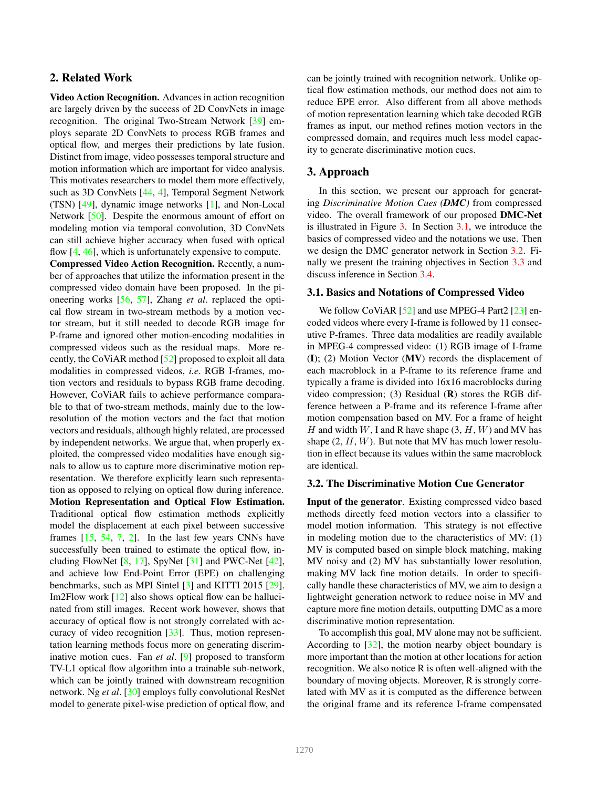# 2. Related Work

Video Action Recognition. Advances in action recognition are largely driven by the success of 2D ConvNets in image recognition. The original Two-Stream Network [39] employs separate 2D ConvNets to process RGB frames and optical flow, and merges their predictions by late fusion. Distinct from image, video possesses temporal structure and motion information which are important for video analysis. This motivates researchers to model them more effectively, such as 3D ConvNets [44, 4], Temporal Segment Network (TSN) [49], dynamic image networks [1], and Non-Local Network [50]. Despite the enormous amount of effort on modeling motion via temporal convolution, 3D ConvNets can still achieve higher accuracy when fused with optical flow [4, 46], which is unfortunately expensive to compute.

Compressed Video Action Recognition. Recently, a number of approaches that utilize the information present in the compressed video domain have been proposed. In the pioneering works [56, 57], Zhang *et al*. replaced the optical flow stream in two-stream methods by a motion vector stream, but it still needed to decode RGB image for P-frame and ignored other motion-encoding modalities in compressed videos such as the residual maps. More recently, the CoViAR method [52] proposed to exploit all data modalities in compressed videos, *i.e*. RGB I-frames, motion vectors and residuals to bypass RGB frame decoding. However, CoViAR fails to achieve performance comparable to that of two-stream methods, mainly due to the lowresolution of the motion vectors and the fact that motion vectors and residuals, although highly related, are processed by independent networks. We argue that, when properly exploited, the compressed video modalities have enough signals to allow us to capture more discriminative motion representation. We therefore explicitly learn such representation as opposed to relying on optical flow during inference. Motion Representation and Optical Flow Estimation. Traditional optical flow estimation methods explicitly model the displacement at each pixel between successive frames [15, 54, 7, 2]. In the last few years CNNs have successfully been trained to estimate the optical flow, including FlowNet  $[8, 17]$ , SpyNet  $[31]$  and PWC-Net  $[42]$ , and achieve low End-Point Error (EPE) on challenging benchmarks, such as MPI Sintel [3] and KITTI 2015 [29]. Im2Flow work [12] also shows optical flow can be hallucinated from still images. Recent work however, shows that accuracy of optical flow is not strongly correlated with accuracy of video recognition  $[33]$ . Thus, motion representation learning methods focus more on generating discriminative motion cues. Fan *et al*. [9] proposed to transform TV-L1 optical flow algorithm into a trainable sub-network, which can be jointly trained with downstream recognition network. Ng *et al*. [30] employs fully convolutional ResNet model to generate pixel-wise prediction of optical flow, and can be jointly trained with recognition network. Unlike optical flow estimation methods, our method does not aim to reduce EPE error. Also different from all above methods of motion representation learning which take decoded RGB frames as input, our method refines motion vectors in the compressed domain, and requires much less model capacity to generate discriminative motion cues.

## 3. Approach

In this section, we present our approach for generating *Discriminative Motion Cues (DMC)* from compressed video. The overall framework of our proposed DMC-Net is illustrated in Figure 3. In Section 3.1, we introduce the basics of compressed video and the notations we use. Then we design the DMC generator network in Section 3.2. Finally we present the training objectives in Section 3.3 and discuss inference in Section 3.4.

#### 3.1. Basics and Notations of Compressed Video

We follow CoViAR [52] and use MPEG-4 Part2 [23] encoded videos where every I-frame is followed by 11 consecutive P-frames. Three data modalities are readily available in MPEG-4 compressed video: (1) RGB image of I-frame (I); (2) Motion Vector (MV) records the displacement of each macroblock in a P-frame to its reference frame and typically a frame is divided into 16x16 macroblocks during video compression; (3) Residual  $(R)$  stores the RGB difference between a P-frame and its reference I-frame after motion compensation based on MV. For a frame of height H and width W, I and R have shape  $(3, H, W)$  and MV has shape  $(2, H, W)$ . But note that MV has much lower resolution in effect because its values within the same macroblock are identical.

#### 3.2. The Discriminative Motion Cue Generator

Input of the generator. Existing compressed video based methods directly feed motion vectors into a classifier to model motion information. This strategy is not effective in modeling motion due to the characteristics of MV: (1) MV is computed based on simple block matching, making MV noisy and (2) MV has substantially lower resolution, making MV lack fine motion details. In order to specifically handle these characteristics of MV, we aim to design a lightweight generation network to reduce noise in MV and capture more fine motion details, outputting DMC as a more discriminative motion representation.

To accomplish this goal, MV alone may not be sufficient. According to  $[32]$ , the motion nearby object boundary is more important than the motion at other locations for action recognition. We also notice R is often well-aligned with the boundary of moving objects. Moreover, R is strongly correlated with MV as it is computed as the difference between the original frame and its reference I-frame compensated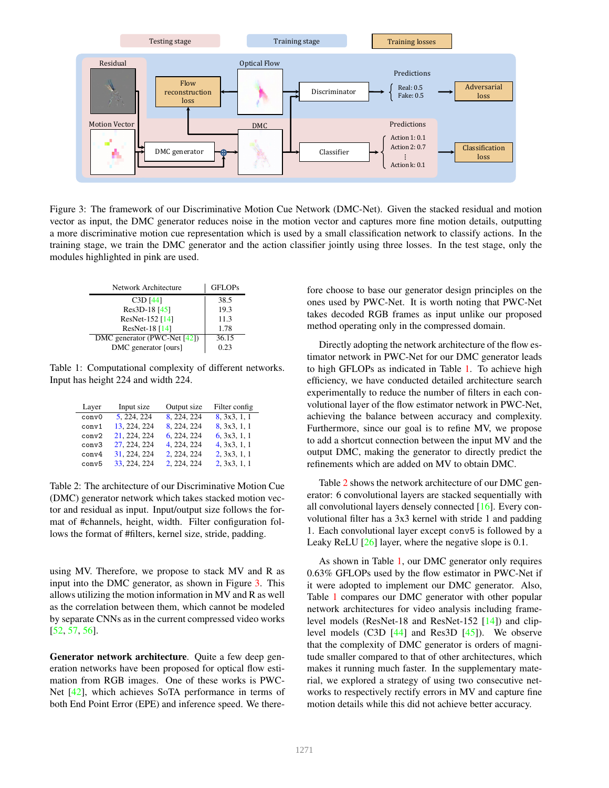

Figure 3: The framework of our Discriminative Motion Cue Network (DMC-Net). Given the stacked residual and motion vector as input, the DMC generator reduces noise in the motion vector and captures more fine motion details, outputting a more discriminative motion cue representation which is used by a small classification network to classify actions. In the training stage, we train the DMC generator and the action classifier jointly using three losses. In the test stage, only the modules highlighted in pink are used.

| Network Architecture         | <b>GFLOPs</b> |
|------------------------------|---------------|
| $C3D$ [44]                   | 38.5          |
| Res3D-18 [45]                | 19.3          |
| ResNet-152 [14]              | 11.3          |
| ResNet-18 [14]               | 1.78          |
| DMC generator (PWC-Net [42]) | 36.15         |
| DMC generator [ours]         | 0.23          |

Table 1: Computational complexity of different networks. Input has height 224 and width 224.

| Layer             | Input size   | Output size | Filter config |
|-------------------|--------------|-------------|---------------|
| conv <sub>0</sub> | 5, 224, 224  | 8.224.224   | 8, 3x3, 1, 1  |
| conv1             | 13.224.224   | 8.224.224   | 8, 3x3, 1, 1  |
| conv2             | 21, 224, 224 | 6, 224, 224 | 6, 3x3, 1, 1  |
| conv3             | 27, 224, 224 | 4, 224, 224 | 4, 3x3, 1, 1  |
| conv4             | 31, 224, 224 | 2, 224, 224 | 2, 3x3, 1, 1  |
| conv <sub>5</sub> | 33.224.224   | 2, 224, 224 | 2, 3x3, 1, 1  |

Table 2: The architecture of our Discriminative Motion Cue (DMC) generator network which takes stacked motion vector and residual as input. Input/output size follows the format of #channels, height, width. Filter configuration follows the format of #filters, kernel size, stride, padding.

using MV. Therefore, we propose to stack MV and R as input into the DMC generator, as shown in Figure 3. This allows utilizing the motion information in MV and R as well as the correlation between them, which cannot be modeled by separate CNNs as in the current compressed video works [52, 57, 56].

Generator network architecture. Quite a few deep generation networks have been proposed for optical flow estimation from RGB images. One of these works is PWC-Net [42], which achieves SoTA performance in terms of both End Point Error (EPE) and inference speed. We therefore choose to base our generator design principles on the ones used by PWC-Net. It is worth noting that PWC-Net takes decoded RGB frames as input unlike our proposed method operating only in the compressed domain.

Directly adopting the network architecture of the flow estimator network in PWC-Net for our DMC generator leads to high GFLOPs as indicated in Table 1. To achieve high efficiency, we have conducted detailed architecture search experimentally to reduce the number of filters in each convolutional layer of the flow estimator network in PWC-Net, achieving the balance between accuracy and complexity. Furthermore, since our goal is to refine MV, we propose to add a shortcut connection between the input MV and the output DMC, making the generator to directly predict the refinements which are added on MV to obtain DMC.

Table 2 shows the network architecture of our DMC generator: 6 convolutional layers are stacked sequentially with all convolutional layers densely connected [16]. Every convolutional filter has a 3x3 kernel with stride 1 and padding 1. Each convolutional layer except conv5 is followed by a Leaky ReLU  $[26]$  layer, where the negative slope is 0.1.

As shown in Table 1, our DMC generator only requires 0.63% GFLOPs used by the flow estimator in PWC-Net if it were adopted to implement our DMC generator. Also, Table 1 compares our DMC generator with other popular network architectures for video analysis including framelevel models (ResNet-18 and ResNet-152 [14]) and cliplevel models (C3D [44] and Res3D [45]). We observe that the complexity of DMC generator is orders of magnitude smaller compared to that of other architectures, which makes it running much faster. In the supplementary material, we explored a strategy of using two consecutive networks to respectively rectify errors in MV and capture fine motion details while this did not achieve better accuracy.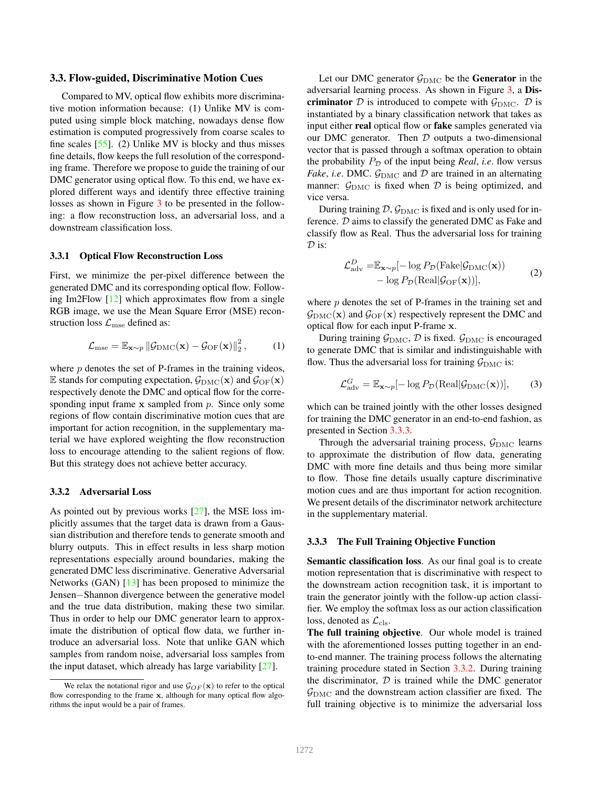#### 3.3. Flow-guided, Discriminative Motion Cues

Compared to MV, optical flow exhibits more discriminative motion information because: (1) Unlike MV is computed using simple block matching, nowadays dense flow estimation is computed progressively from coarse scales to fine scales [55]. (2) Unlike MV is blocky and thus misses fine details, flow keeps the full resolution of the corresponding frame. Therefore we propose to guide the training of our DMC generator using optical flow. To this end, we have explored different ways and identify three effective training losses as shown in Figure 3 to be presented in the following: a flow reconstruction loss, an adversarial loss, and a downstream classification loss.

## 3.3.1 Optical Flow Reconstruction Loss

First, we minimize the per-pixel difference between the generated DMC and its corresponding optical flow. Following Im2Flow [12] which approximates flow from a single RGB image, we use the Mean Square Error (MSE) reconstruction loss  $\mathcal{L}_{mse}$  defined as:

$$
\mathcal{L}_{\text{mse}} = \mathbb{E}_{\mathbf{x} \sim p} \| \mathcal{G}_{\text{DMC}}(\mathbf{x}) - \mathcal{G}_{\text{OF}}(\mathbf{x}) \|_{2}^{2}, \qquad (1)
$$

where  $p$  denotes the set of P-frames in the training videos, E stands for computing expectation,  $\mathcal{G}_{\text{DMC}}(\mathbf{x})$  and  $\mathcal{G}_{\text{OF}}(\mathbf{x})$ respectively denote the DMC and optical flow for the corresponding input frame  $x$  sampled from  $p$ . Since only some regions of flow contain discriminative motion cues that are important for action recognition, in the supplementary material we have explored weighting the flow reconstruction loss to encourage attending to the salient regions of flow. But this strategy does not achieve better accuracy.

## 3.3.2 Adversarial Loss

As pointed out by previous works [27], the MSE loss implicitly assumes that the target data is drawn from a Gaussian distribution and therefore tends to generate smooth and blurry outputs. This in effect results in less sharp motion representations especially around boundaries, making the generated DMC less discriminative. Generative Adversarial Networks (GAN) [13] has been proposed to minimize the Jensen−Shannon divergence between the generative model and the true data distribution, making these two similar. Thus in order to help our DMC generator learn to approximate the distribution of optical flow data, we further introduce an adversarial loss. Note that unlike GAN which samples from random noise, adversarial loss samples from the input dataset, which already has large variability [27].

Let our DMC generator  $\mathcal{G}_{\text{DMC}}$  be the Generator in the adversarial learning process. As shown in Figure 3, a Discriminator D is introduced to compete with  $\mathcal{G}_{\text{DMC}}$ . D is instantiated by a binary classification network that takes as input either real optical flow or fake samples generated via our DMC generator. Then  $D$  outputs a two-dimensional vector that is passed through a softmax operation to obtain the probability  $P_{\mathcal{D}}$  of the input being *Real*, *i.e.* flow versus *Fake*, *i.e.* DMC.  $\mathcal{G}_{\text{DMC}}$  and  $\mathcal{D}$  are trained in an alternating manner:  $G_{\text{DMC}}$  is fixed when  $D$  is being optimized, and vice versa.

During training  $\mathcal{D}, \mathcal{G}_{\text{DMC}}$  is fixed and is only used for inference. D aims to classify the generated DMC as Fake and classify flow as Real. Thus the adversarial loss for training  $\mathcal{D}$  is:

$$
\mathcal{L}_{\text{adv}}^D = \mathbb{E}_{\mathbf{x} \sim p}[-\log P_{\mathcal{D}}(\text{Fake}|\mathcal{G}_{\text{DMC}}(\mathbf{x})) - \log P_{\mathcal{D}}(\text{Real}|\mathcal{G}_{\text{OF}}(\mathbf{x}))],
$$
\n(2)

where  $p$  denotes the set of P-frames in the training set and  $\mathcal{G}_{\text{DMC}}(\mathbf{x})$  and  $\mathcal{G}_{\text{OF}}(\mathbf{x})$  respectively represent the DMC and optical flow for each input P-frame x.

During training  $\mathcal{G}_{\text{DMC}}$ ,  $\mathcal{D}$  is fixed.  $\mathcal{G}_{\text{DMC}}$  is encouraged to generate DMC that is similar and indistinguishable with flow. Thus the adversarial loss for training  $\mathcal{G}_{\text{DMC}}$  is:

$$
\mathcal{L}_{\text{adv}}^G = \mathbb{E}_{\mathbf{x} \sim p}[-\log P_{\mathcal{D}}(\text{Real}|\mathcal{G}_{\text{DMC}}(\mathbf{x}))],\qquad(3)
$$

which can be trained jointly with the other losses designed for training the DMC generator in an end-to-end fashion, as presented in Section 3.3.3.

Through the adversarial training process,  $\mathcal{G}_{\text{DMC}}$  learns to approximate the distribution of flow data, generating DMC with more fine details and thus being more similar to flow. Those fine details usually capture discriminative motion cues and are thus important for action recognition. We present details of the discriminator network architecture in the supplementary material.

## 3.3.3 The Full Training Objective Function

Semantic classification loss. As our final goal is to create motion representation that is discriminative with respect to the downstream action recognition task, it is important to train the generator jointly with the follow-up action classifier. We employ the softmax loss as our action classification loss, denoted as  $\mathcal{L}_{cls}$ .

The full training objective. Our whole model is trained with the aforementioned losses putting together in an endto-end manner. The training process follows the alternating training procedure stated in Section 3.3.2. During training the discriminator,  $D$  is trained while the DMC generator  $\mathcal{G}_{\text{DMC}}$  and the downstream action classifier are fixed. The full training objective is to minimize the adversarial loss

We relax the notational rigor and use  $\mathcal{G}_{OF}(\mathbf{x})$  to refer to the optical flow corresponding to the frame  $x$ , although for many optical flow algorithms the input would be a pair of frames.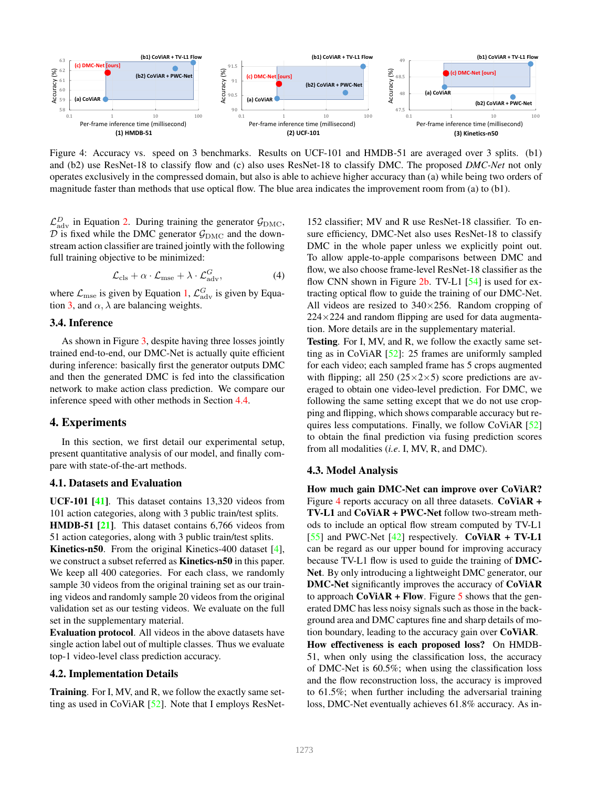

Figure 4: Accuracy vs. speed on 3 benchmarks. Results on UCF-101 and HMDB-51 are averaged over 3 splits. (b1) and (b2) use ResNet-18 to classify flow and (c) also uses ResNet-18 to classify DMC. The proposed *DMC-Net* not only operates exclusively in the compressed domain, but also is able to achieve higher accuracy than (a) while being two orders of magnitude faster than methods that use optical flow. The blue area indicates the improvement room from (a) to (b1).

 $\mathcal{L}^D_{\text{adv}}$  in Equation 2. During training the generator  $\mathcal{G}_{\text{DMC}}$ ,  $D$  is fixed while the DMC generator  $G_{\text{DMC}}$  and the downstream action classifier are trained jointly with the following full training objective to be minimized:

$$
\mathcal{L}_{\text{cls}} + \alpha \cdot \mathcal{L}_{\text{mse}} + \lambda \cdot \mathcal{L}_{\text{adv}}^G,\tag{4}
$$

where  $\mathcal{L}_{\text{mse}}$  is given by Equation 1,  $\mathcal{L}_{\text{adv}}^G$  is given by Equation 3, and  $\alpha$ ,  $\lambda$  are balancing weights.

## 3.4. Inference

As shown in Figure 3, despite having three losses jointly trained end-to-end, our DMC-Net is actually quite efficient during inference: basically first the generator outputs DMC and then the generated DMC is fed into the classification network to make action class prediction. We compare our inference speed with other methods in Section 4.4.

## 4. Experiments

In this section, we first detail our experimental setup, present quantitative analysis of our model, and finally compare with state-of-the-art methods.

## 4.1. Datasets and Evaluation

UCF-101 [41]. This dataset contains 13,320 videos from 101 action categories, along with 3 public train/test splits. HMDB-51 [21]. This dataset contains 6,766 videos from 51 action categories, along with 3 public train/test splits. Kinetics-n50. From the original Kinetics-400 dataset [4], we construct a subset referred as Kinetics-n50 in this paper. We keep all 400 categories. For each class, we randomly sample 30 videos from the original training set as our training videos and randomly sample 20 videos from the original validation set as our testing videos. We evaluate on the full set in the supplementary material.

Evaluation protocol. All videos in the above datasets have single action label out of multiple classes. Thus we evaluate top-1 video-level class prediction accuracy.

## 4.2. Implementation Details

Training. For I, MV, and R, we follow the exactly same setting as used in CoViAR [52]. Note that I employs ResNet152 classifier; MV and R use ResNet-18 classifier. To ensure efficiency, DMC-Net also uses ResNet-18 to classify DMC in the whole paper unless we explicitly point out. To allow apple-to-apple comparisons between DMC and flow, we also choose frame-level ResNet-18 classifier as the flow CNN shown in Figure  $2b$ . TV-L1 [54] is used for extracting optical flow to guide the training of our DMC-Net. All videos are resized to  $340\times256$ . Random cropping of  $224\times224$  and random flipping are used for data augmentation. More details are in the supplementary material.

Testing. For I, MV, and R, we follow the exactly same setting as in CoViAR [52]: 25 frames are uniformly sampled for each video; each sampled frame has 5 crops augmented with flipping; all 250 ( $25 \times 2 \times 5$ ) score predictions are averaged to obtain one video-level prediction. For DMC, we following the same setting except that we do not use cropping and flipping, which shows comparable accuracy but requires less computations. Finally, we follow CoViAR [52] to obtain the final prediction via fusing prediction scores from all modalities (*i.e*. I, MV, R, and DMC).

#### 4.3. Model Analysis

How much gain DMC-Net can improve over CoViAR? Figure 4 reports accuracy on all three datasets. CoViAR + TV-L1 and CoViAR + PWC-Net follow two-stream methods to include an optical flow stream computed by TV-L1 [55] and PWC-Net  $[42]$  respectively. CoViAR + TV-L1 can be regard as our upper bound for improving accuracy because TV-L1 flow is used to guide the training of DMC-Net. By only introducing a lightweight DMC generator, our DMC-Net significantly improves the accuracy of CoViAR to approach  $CoViAR + Flow$ . Figure 5 shows that the generated DMC has less noisy signals such as those in the background area and DMC captures fine and sharp details of motion boundary, leading to the accuracy gain over CoViAR. How effectiveness is each proposed loss? On HMDB-51, when only using the classification loss, the accuracy of DMC-Net is 60.5%; when using the classification loss and the flow reconstruction loss, the accuracy is improved to 61.5%; when further including the adversarial training loss, DMC-Net eventually achieves 61.8% accuracy. As in-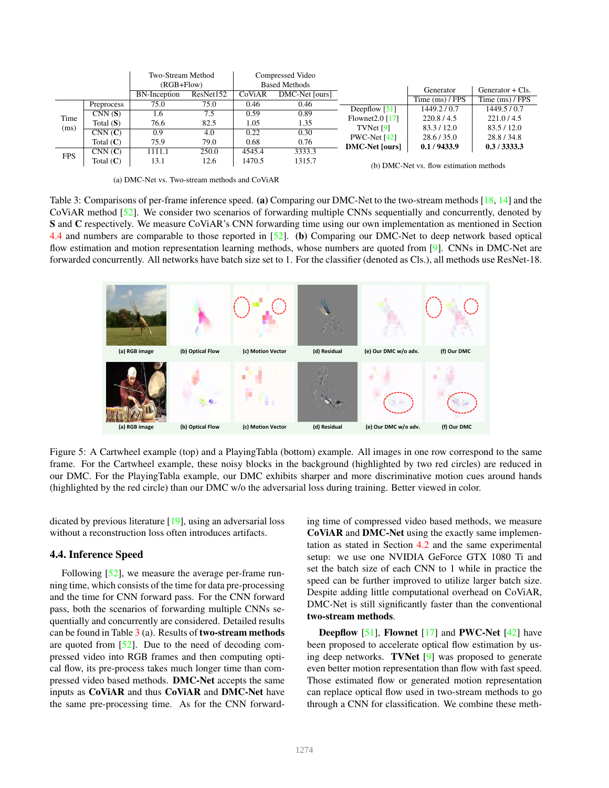|              |             | Two-Stream Method |                |        | Compressed Video     |                             |                                        |                    |
|--------------|-------------|-------------------|----------------|--------|----------------------|-----------------------------|----------------------------------------|--------------------|
|              |             |                   | $(RGB + Flow)$ |        | <b>Based Methods</b> |                             | Generator                              | Generator $+$ Cls. |
|              |             | BN-Inception      | ResNet152      | CoViAR | DMC-Net [ours]       |                             |                                        |                    |
|              | Preprocess  | 75.0              | 75.0           | 0.46   | 0.46                 |                             | Time $(ms)$ / FPS                      | Time $(ms)$ / FPS  |
| Time<br>(ms) |             |                   |                |        |                      | Deepflow $\lceil 51 \rceil$ | 1449.2 / 0.7                           | 1449.5/0.7         |
|              | CNN(S)      | 1.6               | 7.5            | 0.59   | 0.89                 | Flownet $2.0$ [17]          | 220.8 / 4.5                            | 221.0 / 4.5        |
|              | Total $(S)$ | 76.6              | 82.5           | 1.05   | 1.35                 |                             |                                        |                    |
|              | CNN(C)      | 0.9               | 4.0            | 0.22   | 0.30                 | TVNet $[9]$                 | 83.3/12.0                              | 83.5/12.0          |
|              |             |                   |                |        |                      | PWC-Net $[42]$              | 28.6 / 35.0                            | 28.8/34.8          |
|              | Total $(C)$ | 75.9              | 79.0           | 0.68   | 0.76                 | <b>DMC-Net [ours]</b>       | 0.1/9433.9                             | 0.3/3333.3         |
| <b>FPS</b>   | CNN(C)      | 1111.1            | 250.0          | 4545.4 | 3333.3               |                             |                                        |                    |
|              | Total $(C)$ | 13.1              | 12.6           | 1470.5 | 1315.7               |                             | (b) DMC Net ye flow estimation methods |                    |

(a) DMC-Net vs. Two-stream methods and CoViAR

(b) DMC-Net vs. flow estimation methods

Table 3: Comparisons of per-frame inference speed. (a) Comparing our DMC-Net to the two-stream methods [18, 14] and the CoViAR method [52]. We consider two scenarios of forwarding multiple CNNs sequentially and concurrently, denoted by S and C respectively. We measure CoViAR's CNN forwarding time using our own implementation as mentioned in Section 4.4 and numbers are comparable to those reported in [52]. (b) Comparing our DMC-Net to deep network based optical flow estimation and motion representation learning methods, whose numbers are quoted from [9]. CNNs in DMC-Net are forwarded concurrently. All networks have batch size set to 1. For the classifier (denoted as Cls.), all methods use ResNet-18.



Figure 5: A Cartwheel example (top) and a PlayingTabla (bottom) example. All images in one row correspond to the same frame. For the Cartwheel example, these noisy blocks in the background (highlighted by two red circles) are reduced in our DMC. For the PlayingTabla example, our DMC exhibits sharper and more discriminative motion cues around hands (highlighted by the red circle) than our DMC w/o the adversarial loss during training. Better viewed in color.

dicated by previous literature [19], using an adversarial loss without a reconstruction loss often introduces artifacts.

#### 4.4. Inference Speed

Following [52], we measure the average per-frame running time, which consists of the time for data pre-processing and the time for CNN forward pass. For the CNN forward pass, both the scenarios of forwarding multiple CNNs sequentially and concurrently are considered. Detailed results can be found in Table  $3$  (a). Results of **two-stream methods** are quoted from [52]. Due to the need of decoding compressed video into RGB frames and then computing optical flow, its pre-process takes much longer time than compressed video based methods. DMC-Net accepts the same inputs as CoViAR and thus CoViAR and DMC-Net have the same pre-processing time. As for the CNN forwarding time of compressed video based methods, we measure CoViAR and DMC-Net using the exactly same implementation as stated in Section 4.2 and the same experimental setup: we use one NVIDIA GeForce GTX 1080 Ti and set the batch size of each CNN to 1 while in practice the speed can be further improved to utilize larger batch size. Despite adding little computational overhead on CoViAR, DMC-Net is still significantly faster than the conventional two-stream methods.

**Deepflow** [51], **Flownet** [17] and **PWC-Net** [42] have been proposed to accelerate optical flow estimation by using deep networks. TVNet [9] was proposed to generate even better motion representation than flow with fast speed. Those estimated flow or generated motion representation can replace optical flow used in two-stream methods to go through a CNN for classification. We combine these meth-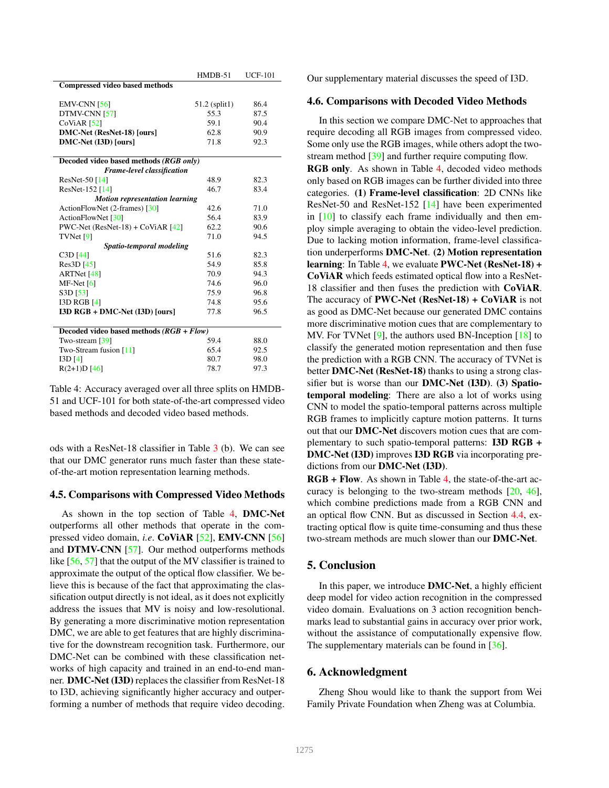|                                            | $HMDB-51$     | <b>UCF-101</b> |  |  |  |
|--------------------------------------------|---------------|----------------|--|--|--|
| <b>Compressed video based methods</b>      |               |                |  |  |  |
|                                            |               |                |  |  |  |
| $EMV-CNN [56]$                             | 51.2 (split1) | 86.4           |  |  |  |
| DTMV-CNN [57]                              | 55.3          | 87.5           |  |  |  |
| $CoViAR$ [52]                              | 59.1          | 90.4           |  |  |  |
| DMC-Net (ResNet-18) [ours]                 | 62.8          | 90.9           |  |  |  |
| DMC-Net (I3D) [ours]                       | 71.8          | 92.3           |  |  |  |
|                                            |               |                |  |  |  |
| Decoded video based methods (RGB only)     |               |                |  |  |  |
| <b>Frame-level classification</b>          |               |                |  |  |  |
| ResNet-50 $[14]$                           | 48.9          | 82.3           |  |  |  |
| ResNet-152 [14]                            | 46.7          | 83.4           |  |  |  |
| <b>Motion representation learning</b>      |               |                |  |  |  |
| ActionFlowNet (2-frames) [30]              | 42.6          | 71.0           |  |  |  |
| ActionFlowNet [30]                         | 56.4          | 83.9           |  |  |  |
| PWC-Net $(ResNet-18) + CoViAR [42]$        | 62.2          | 90.6           |  |  |  |
| TVMet [9]                                  | 71.0          | 94.5           |  |  |  |
| Spatio-temporal modeling                   |               |                |  |  |  |
| C3D [44]                                   | 51.6          | 82.3           |  |  |  |
| Res3D [45]                                 | 54.9          | 85.8           |  |  |  |
| ARTNet [48]                                | 70.9          | 94.3           |  |  |  |
| $MF-Net [6]$                               | 74.6          | 96.0           |  |  |  |
| S3D [53]                                   | 75.9          | 96.8           |  |  |  |
| <b>I3D RGB [4]</b>                         | 74.8          | 95.6           |  |  |  |
| $I3D RGB + DMC-Net (I3D)$ [ours]           | 77.8          | 96.5           |  |  |  |
|                                            |               |                |  |  |  |
| Decoded video based methods $(RGB + Flow)$ |               |                |  |  |  |
| Two-stream [39]                            | 59.4          | 88.0           |  |  |  |
| Two-Stream fusion $[11]$                   | 65.4          | 92.5           |  |  |  |
| I3D[4]                                     | 80.7          | 98.0           |  |  |  |
| $R(2+1)D$ [46]                             | 78.7          | 97.3           |  |  |  |

Table 4: Accuracy averaged over all three splits on HMDB-51 and UCF-101 for both state-of-the-art compressed video based methods and decoded video based methods.

ods with a ResNet-18 classifier in Table 3 (b). We can see that our DMC generator runs much faster than these stateof-the-art motion representation learning methods.

## 4.5. Comparisons with Compressed Video Methods

As shown in the top section of Table 4, DMC-Net outperforms all other methods that operate in the compressed video domain, *i.e*. CoViAR [52], EMV-CNN [56] and DTMV-CNN [57]. Our method outperforms methods like [56, 57] that the output of the MV classifier is trained to approximate the output of the optical flow classifier. We believe this is because of the fact that approximating the classification output directly is not ideal, as it does not explicitly address the issues that MV is noisy and low-resolutional. By generating a more discriminative motion representation DMC, we are able to get features that are highly discriminative for the downstream recognition task. Furthermore, our DMC-Net can be combined with these classification networks of high capacity and trained in an end-to-end manner. DMC-Net (I3D) replaces the classifier from ResNet-18 to I3D, achieving significantly higher accuracy and outperforming a number of methods that require video decoding. Our supplementary material discusses the speed of I3D.

## 4.6. Comparisons with Decoded Video Methods

In this section we compare DMC-Net to approaches that require decoding all RGB images from compressed video. Some only use the RGB images, while others adopt the twostream method [39] and further require computing flow.

RGB only. As shown in Table 4, decoded video methods only based on RGB images can be further divided into three categories. (1) Frame-level classification: 2D CNNs like ResNet-50 and ResNet-152 [14] have been experimented in  $[10]$  to classify each frame individually and then employ simple averaging to obtain the video-level prediction. Due to lacking motion information, frame-level classification underperforms DMC-Net. (2) Motion representation learning: In Table 4, we evaluate PWC-Net (ResNet-18) + CoViAR which feeds estimated optical flow into a ResNet-18 classifier and then fuses the prediction with CoViAR. The accuracy of PWC-Net (ResNet-18) +  $CoViAR$  is not as good as DMC-Net because our generated DMC contains more discriminative motion cues that are complementary to MV. For TVNet [9], the authors used BN-Inception [18] to classify the generated motion representation and then fuse the prediction with a RGB CNN. The accuracy of TVNet is better DMC-Net (ResNet-18) thanks to using a strong classifier but is worse than our DMC-Net (I3D). (3) Spatiotemporal modeling: There are also a lot of works using CNN to model the spatio-temporal patterns across multiple RGB frames to implicitly capture motion patterns. It turns out that our DMC-Net discovers motion cues that are complementary to such spatio-temporal patterns: I3D RGB + DMC-Net (I3D) improves I3D RGB via incorporating predictions from our DMC-Net (I3D).

RGB + Flow. As shown in Table 4, the state-of-the-art accuracy is belonging to the two-stream methods  $[20, 46]$ , which combine predictions made from a RGB CNN and an optical flow CNN. But as discussed in Section 4.4, extracting optical flow is quite time-consuming and thus these two-stream methods are much slower than our DMC-Net.

## 5. Conclusion

In this paper, we introduce DMC-Net, a highly efficient deep model for video action recognition in the compressed video domain. Evaluations on 3 action recognition benchmarks lead to substantial gains in accuracy over prior work, without the assistance of computationally expensive flow. The supplementary materials can be found in [36].

## 6. Acknowledgment

Zheng Shou would like to thank the support from Wei Family Private Foundation when Zheng was at Columbia.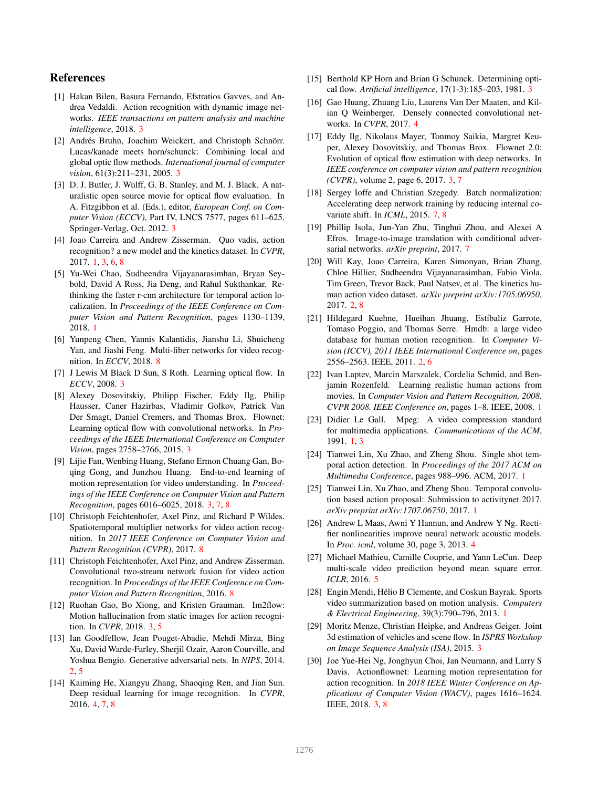# References

- [1] Hakan Bilen, Basura Fernando, Efstratios Gavves, and Andrea Vedaldi. Action recognition with dynamic image networks. *IEEE transactions on pattern analysis and machine intelligence*, 2018. 3
- [2] Andrés Bruhn, Joachim Weickert, and Christoph Schnörr. Lucas/kanade meets horn/schunck: Combining local and global optic flow methods. *International journal of computer vision*, 61(3):211–231, 2005. 3
- [3] D. J. Butler, J. Wulff, G. B. Stanley, and M. J. Black. A naturalistic open source movie for optical flow evaluation. In A. Fitzgibbon et al. (Eds.), editor, *European Conf. on Computer Vision (ECCV)*, Part IV, LNCS 7577, pages 611–625. Springer-Verlag, Oct. 2012. 3
- [4] Joao Carreira and Andrew Zisserman. Quo vadis, action recognition? a new model and the kinetics dataset. In *CVPR*, 2017. 1, 3, 6, 8
- [5] Yu-Wei Chao, Sudheendra Vijayanarasimhan, Bryan Seybold, David A Ross, Jia Deng, and Rahul Sukthankar. Rethinking the faster r-cnn architecture for temporal action localization. In *Proceedings of the IEEE Conference on Computer Vision and Pattern Recognition*, pages 1130–1139, 2018. 1
- [6] Yunpeng Chen, Yannis Kalantidis, Jianshu Li, Shuicheng Yan, and Jiashi Feng. Multi-fiber networks for video recognition. In *ECCV*, 2018. 8
- [7] J Lewis M Black D Sun, S Roth. Learning optical flow. In *ECCV*, 2008. 3
- [8] Alexey Dosovitskiy, Philipp Fischer, Eddy Ilg, Philip Hausser, Caner Hazirbas, Vladimir Golkov, Patrick Van Der Smagt, Daniel Cremers, and Thomas Brox. Flownet: Learning optical flow with convolutional networks. In *Proceedings of the IEEE International Conference on Computer Vision*, pages 2758–2766, 2015. 3
- [9] Lijie Fan, Wenbing Huang, Stefano Ermon Chuang Gan, Boqing Gong, and Junzhou Huang. End-to-end learning of motion representation for video understanding. In *Proceedings of the IEEE Conference on Computer Vision and Pattern Recognition*, pages 6016–6025, 2018. 3, 7, 8
- [10] Christoph Feichtenhofer, Axel Pinz, and Richard P Wildes. Spatiotemporal multiplier networks for video action recognition. In *2017 IEEE Conference on Computer Vision and Pattern Recognition (CVPR)*, 2017. 8
- [11] Christoph Feichtenhofer, Axel Pinz, and Andrew Zisserman. Convolutional two-stream network fusion for video action recognition. In *Proceedings of the IEEE Conference on Computer Vision and Pattern Recognition*, 2016. 8
- [12] Ruohan Gao, Bo Xiong, and Kristen Grauman. Im2flow: Motion hallucination from static images for action recognition. In *CVPR*, 2018. 3, 5
- [13] Ian Goodfellow, Jean Pouget-Abadie, Mehdi Mirza, Bing Xu, David Warde-Farley, Sherjil Ozair, Aaron Courville, and Yoshua Bengio. Generative adversarial nets. In *NIPS*, 2014. 2, 5
- [14] Kaiming He, Xiangyu Zhang, Shaoqing Ren, and Jian Sun. Deep residual learning for image recognition. In *CVPR*, 2016. 4, 7, 8
- [15] Berthold KP Horn and Brian G Schunck. Determining optical flow. *Artificial intelligence*, 17(1-3):185–203, 1981. 3
- [16] Gao Huang, Zhuang Liu, Laurens Van Der Maaten, and Kilian Q Weinberger. Densely connected convolutional networks. In *CVPR*, 2017. 4
- [17] Eddy Ilg, Nikolaus Mayer, Tonmoy Saikia, Margret Keuper, Alexey Dosovitskiy, and Thomas Brox. Flownet 2.0: Evolution of optical flow estimation with deep networks. In *IEEE conference on computer vision and pattern recognition (CVPR)*, volume 2, page 6, 2017. 3, 7
- [18] Sergey Ioffe and Christian Szegedy. Batch normalization: Accelerating deep network training by reducing internal covariate shift. In *ICML*, 2015. 7, 8
- [19] Phillip Isola, Jun-Yan Zhu, Tinghui Zhou, and Alexei A Efros. Image-to-image translation with conditional adversarial networks. *arXiv preprint*, 2017. 7
- [20] Will Kay, Joao Carreira, Karen Simonyan, Brian Zhang, Chloe Hillier, Sudheendra Vijayanarasimhan, Fabio Viola, Tim Green, Trevor Back, Paul Natsev, et al. The kinetics human action video dataset. *arXiv preprint arXiv:1705.06950*, 2017. 2, 8
- [21] Hildegard Kuehne, Hueihan Jhuang, Estíbaliz Garrote, Tomaso Poggio, and Thomas Serre. Hmdb: a large video database for human motion recognition. In *Computer Vision (ICCV), 2011 IEEE International Conference on*, pages 2556–2563. IEEE, 2011. 2, 6
- [22] Ivan Laptev, Marcin Marszalek, Cordelia Schmid, and Benjamin Rozenfeld. Learning realistic human actions from movies. In *Computer Vision and Pattern Recognition, 2008. CVPR 2008. IEEE Conference on*, pages 1–8. IEEE, 2008. 1
- [23] Didier Le Gall. Mpeg: A video compression standard for multimedia applications. *Communications of the ACM*, 1991. 1, 3
- [24] Tianwei Lin, Xu Zhao, and Zheng Shou. Single shot temporal action detection. In *Proceedings of the 2017 ACM on Multimedia Conference*, pages 988–996. ACM, 2017. 1
- [25] Tianwei Lin, Xu Zhao, and Zheng Shou. Temporal convolution based action proposal: Submission to activitynet 2017. *arXiv preprint arXiv:1707.06750*, 2017. 1
- [26] Andrew L Maas, Awni Y Hannun, and Andrew Y Ng. Rectifier nonlinearities improve neural network acoustic models. In *Proc. icml*, volume 30, page 3, 2013. 4
- [27] Michael Mathieu, Camille Couprie, and Yann LeCun. Deep multi-scale video prediction beyond mean square error. *ICLR*, 2016. 5
- [28] Engin Mendi, Hélio B Clemente, and Coskun Bayrak. Sports video summarization based on motion analysis. *Computers & Electrical Engineering*, 39(3):790–796, 2013. 1
- [29] Moritz Menze, Christian Heipke, and Andreas Geiger. Joint 3d estimation of vehicles and scene flow. In *ISPRS Workshop on Image Sequence Analysis (ISA)*, 2015. 3
- [30] Joe Yue-Hei Ng, Jonghyun Choi, Jan Neumann, and Larry S Davis. Actionflownet: Learning motion representation for action recognition. In *2018 IEEE Winter Conference on Applications of Computer Vision (WACV)*, pages 1616–1624. IEEE, 2018. 3, 8